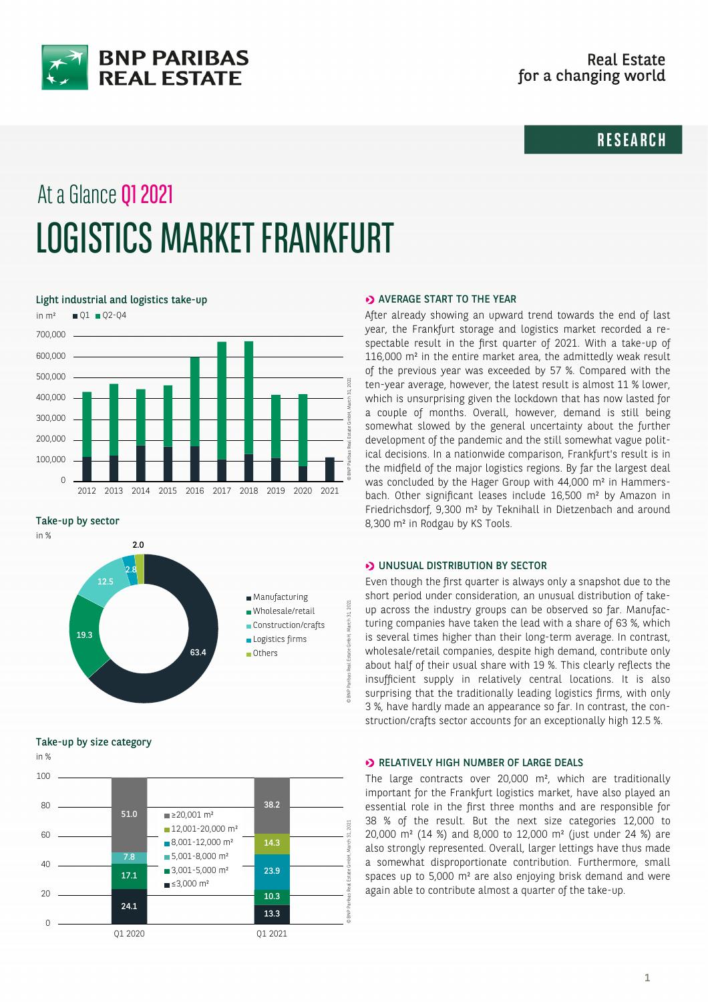

# **RESEARCH**

# At a Glance Q1 2021 LOGISTICS MARKET FRANKFURT

Light industrial and logistics take-up



Take-up by sector



Take-up by size category



#### **>> AVERAGE START TO THE YEAR**

After already showing an upward trend towards the end of last year, the Frankfurt storage and logistics market recorded a respectable result in the first quarter of 2021. With a take-up of 116,000 m² in the entire market area, the admittedly weak result of the previous year was exceeded by 57 %. Compared with the ten-year average, however, the latest result is almost 11 % lower, which is unsurprising given the lockdown that has now lasted for a couple of months. Overall, however, demand is still being somewhat slowed by the general uncertainty about the further development of the pandemic and the still somewhat vague political decisions. In a nationwide comparison, Frankfurt's result is in the midfield of the major logistics regions. By far the largest deal was concluded by the Hager Group with 44,000 m² in Hammersbach. Other significant leases include 16,500 m² by Amazon in Friedrichsdorf, 9,300 m² by Teknihall in Dietzenbach and around 8,300 m² in Rodgau by KS Tools.

# **D** UNUSUAL DISTRIBUTION BY SECTOR

Even though the first quarter is always only a snapshot due to the short period under consideration, an unusual distribution of takeup across the industry groups can be observed so far. Manufacturing companies have taken the lead with a share of 63 %, which is several times higher than their long-term average. In contrast, wholesale/retail companies, despite high demand, contribute only about half of their usual share with 19 %. This clearly reflects the insufficient supply in relatively central locations. It is also surprising that the traditionally leading logistics firms, with only 3 %, have hardly made an appearance so far. In contrast, the construction/crafts sector accounts for an exceptionally high 12.5 %.

# **D** RELATIVELY HIGH NUMBER OF LARGE DEALS

The large contracts over 20,000 m², which are traditionally important for the Frankfurt logistics market, have also played an essential role in the first three months and are responsible for 38 % of the result. But the next size categories 12,000 to 20,000 m² (14 %) and 8,000 to 12,000 m² (just under 24 %) are also strongly represented. Overall, larger lettings have thus made a somewhat disproportionate contribution. Furthermore, small spaces up to 5,000 m² are also enjoying brisk demand and were again able to contribute almost a quarter of the take-up.